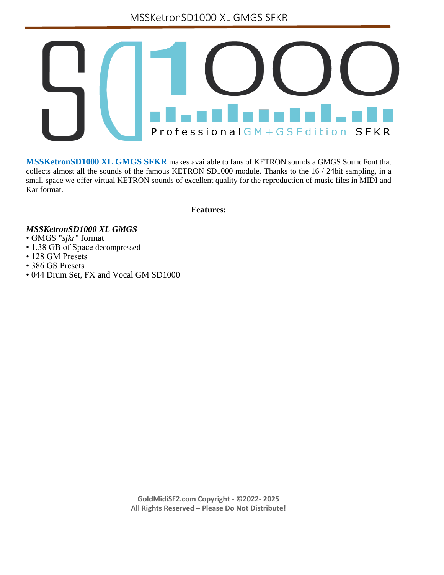MSSKetronSD1000 XL GMGS SFKR



**MSSKetronSD1000 XL GMGS SFKR** makes available to fans of KETRON sounds a GMGS SoundFont that collects almost all the sounds of the famous KETRON SD1000 module. Thanks to the 16 / 24bit sampling, in a small space we offer virtual KETRON sounds of excellent quality for the reproduction of music files in MIDI and Kar format.

**Features:**

## *MSSKetronSD1000 XL GMGS*

- GMGS "*sfkr*" format
- 1.38 GB of Space decompressed
- 128 GM Presets
- 386 GS Presets
- 044 Drum Set, FX and Vocal GM SD1000

**GoldMidiSF2.com Copyright - ©2022- 2025 All Rights Reserved – Please Do Not Distribute!**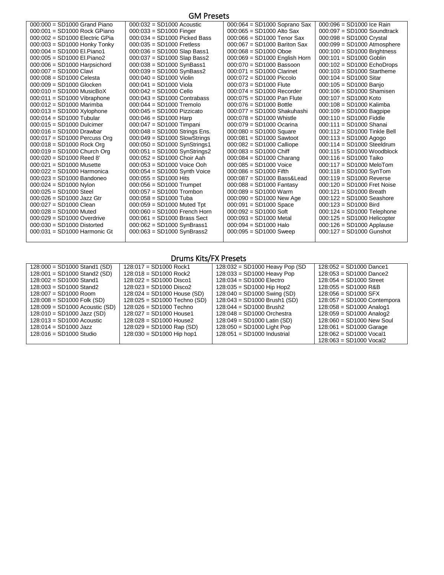| $000:000 = SD1000$ Grand Piano | $000:032 = SD1000$ Acoustic    | $000:064 = SD1000$ Soprano Sax | $000:096 = SD1000$ Ice Rain   |
|--------------------------------|--------------------------------|--------------------------------|-------------------------------|
| $000:001 = SD1000$ Rock GPiano | $000:033 = SD1000$ Finger      | $000:065 = SD1000$ Alto Sax    | $000:097 = SD1000$ Soundtrack |
| 000:002 = SD1000 Electric GPia | $000:034 = SD1000$ Picked Bass | $000:066 = SD1000$ Tenor Sax   | $000:098 = SD1000$ Crystal    |
| 000:003 = SD1000 Honky Tonky   | $000:035 = SD1000$ Fretless    | $000:067 = SD1000$ Bariton Sax | $000:099 = SD1000$ Atmosphere |
| 000:004 = SD1000 El.Piano1     | 000:036 = SD1000 Slap Bass1    | $000:068 = SD1000$ Oboe        | $000:100 = SD1000$ Brightness |
| 000:005 = SD1000 El.Piano2     | $000:037 = SD1000$ Slap Bass2  | 000:069 = SD1000 English Horn  | $000:101 =$ SD1000 Goblin     |
| $000:006 = SD1000$ Harpsichord | $000:038 = SD1000$ SynBass1    | 000:070 = SD1000 Bassoon       | $000:102 = SD1000$ EchoDrops  |
| $000:007 = SD1000$ Clavi       | $000:039 = SD1000$ SynBass2    | $000:071 = SD1000$ Clarinet    | $000:103 = SD1000$ Startheme  |
| $000:008 = SD1000$ Celesta     | $000:040 =$ SD1000 Violin      | $000:072 = SD1000$ Piccolo     | $000:104 = SD1000$ Sitar      |
| $000:009 = SD1000$ Glocken     | $000:041 = SD1000$ Viola       | $000:073 = SD1000$ Flute       | $000:105 = SD1000$ Banjo      |
| $000:010 = SD1000$ MusicBoX    | $000:042 = SD1000$ Cello       | $000:074 =$ SD1000 Recorder    | $000:106 = SD1000$ Shamisen   |
| $000:011 = SD1000$ Vibraphone  | $000:043 = SD1000$ Contrabass  | $000:075 = SD1000$ Pan Flute   | $000:107 = SD1000$ Koto       |
| $000:012 = SD1000$ Marimba     | $000:044 = SD1000$ Tremolo     | $000:076 = SD1000$ Bottle      | 000:108 = SD1000 Kalimba      |
| $000:013 = SD1000$ Xylophone   | $000:045 = SD1000$ Pizzicato   | 000:077 = SD1000 Shakuhashi    | $000:109 = SD1000$ Bagpipe    |
| $000:014 = SD1000$ Tubular     | $000:046 = SD1000$ Harp        | $000:078 = SD1000$ Whistle     | $000:110 =$ SD1000 Fiddle     |
| $000:015 = SD1000$ Dulcimer    | 000:047 = SD1000 Timpani       | $000:079 = SD1000$ Ocarina     | 000:111 = SD1000 Shanai       |
| $000:016 = SD1000$ Drawbar     | 000:048 = SD1000 Strings Ens.  | $000:080 = SD1000$ Square      | 000:112 = SD1000 Tinkle Bell  |
| 000:017 = SD1000 Percuss Org   | $000:049 = SD1000$ SlowStrings | $000:081 = SD1000$ Sawtoot     | $000:113 = SD1000$ Agogo      |
| $000:018 = SD1000$ Rock Org    | $000:050 = SD1000$ SynStrings1 | $000:082 = SD1000$ Calliope    | $000:114 = SD1000$ Steeldrum  |
| 000:019 = SD1000 Church Org    | 000:051 = SD1000 SynStrings2   | $000:083 = SD1000$ Chiff       | $000:115 = SD1000$ Woodblock  |
| $000:020 = SD1000$ Reed 8'     | $000:052 = SD1000$ Choir Aah   | $000:084 = SD1000$ Charang     | 000:116 = SD1000 Taiko        |
| $000:021 = SD1000$ Musette     | $000:053 = SD1000$ Voice Ooh   | $000:085 = SD1000$ Voice       | $000:117 = SD1000$ MeloTom    |
| $000.022 = SD1000$ Harmonica   | $000:054 = SD1000$ Synth Voice | $000:086 = SD1000$ Fifth       | $000:118 = SD1000$ SynTom     |
| $000:023 = SD1000$ Bandoneo    | $000:055 = SD1000$ Hits        | 000:087 = SD1000 Bass&Lead     | $000:119 = SD1000$ Reverse    |
| $000:024 = SD1000$ Nylon       | $000:056 = SD1000$ Trumpet     | $000:088 = SD1000$ Fantasy     | 000:120 = SD1000 Fret Noise   |
| $000:025 = SD1000$ Steel       | $000:057 = SD1000$ Trombon     | $000:089 = SD1000$ Warm        | $000:121 = SD1000$ Breath     |
| $000:026 = SD1000$ Jazz Gtr    | $000:058 = SD1000$ Tuba        | $000:090 = SD1000$ New Age     | $000:122 = SD1000$ Seashore   |
| $000:027 = SD1000$ Clean       | $000:059 = SD1000$ Muted Tpt   | $000:091 = SD1000$ Space       | $000:123 = SD1000$ Bird       |
| $000:028 = SD1000$ Muted       | 000:060 = SD1000 French Horn   | $000:092 = SD1000$ Soft        | 000:124 = SD1000 Telephone    |
| $000:029 = SD1000$ Overdrive   | $000:061 = SD1000$ Brass Sect  | $000:093 = SD1000$ Metal       | $000:125 = SD1000$ Helicopter |
| $000:030 = SD1000$ Distorted   | $000:062 = SD1000$ SynBrass1   | $000:094 = SD1000$ Halo        | $000:126 = SD1000$ Applause   |
| $000:031 = SD1000$ Harmonic Gt | $000:063 = SD1000$ SynBrass2   | $000:095 = SD1000$ Sweep       | $000:127 = SD1000$ Gunshot    |
|                                |                                |                                |                               |

# Drums Kits/FX Presets

| $128:000 = SD1000$ Stand1 (SD)   | $128:017 = SD1000$ Rock1            | $128:032 = SD1000$ Heavy Pop (SD | $128:052 = SD1000$ Dance1   |
|----------------------------------|-------------------------------------|----------------------------------|-----------------------------|
| $128:001 = SD1000$ Stand2 (SD)   | $128:018 = SD1000$ Rock2            | 128:033 = SD1000 Heavy Pop       | $128:053 = SD1000$ Dance2   |
| $128:002 = SD1000$ Stand1        | $128:022 = SD1000$ Disco1           | $128:034 = SD1000$ Electro       | $128:054 = SD1000$ Street   |
| $128:003 = SD1000$ Stand2        | $128:023 = SD1000$ Disco2           | $128:035 = SD1000$ Hip Hop2      | $128:055 = SD1000$ R&B      |
| $128:007 = SD1000$ Room          | $128:024 = SD1000$ House (SD)       | $128:040 = SD1000$ Swing (SD)    | $128:056 = SD1000$ SFX      |
| $128:008 = SD1000$ Folk (SD)     | 128:025 = SD1000 Techno (SD)        | 128:043 = SD1000 Brush1 (SD)     | 128:057 = SD1000 Contempora |
| $128:009 = SD1000$ Acoustic (SD) | $128:026 = SD1000$ Techno           | $128:044 = SD1000$ Brush2        | $128:058 = SD1000$ Analog1  |
| $128:010 = SD1000$ Jazz (SD)     | $128:027 = SD1000$ House1           | $128:048 = SD1000$ Orchestra     | $128:059 = SD1000$ Analog2  |
| $128:013 = SD1000$ Acoustic      | $128:028 = SD1000$ House2           | $128.049 = SD1000$ Latin (SD)    | $128:060 = SD1000$ New Soul |
| $128:014 = SD1000$ Jazz          | $128:029 = SD1000 \text{ Rap (SD)}$ | 128:050 = SD1000 Light Pop       | $128:061 = SD1000$ Garage   |
| $128:016 = SD1000$ Studio        | $128:030 = SD1000$ Hip hop1         | $128:051 = SD1000$ Industrial    | $128:062 = SD1000$ Vocal1   |
|                                  |                                     |                                  | $128:063 = SD1000$ Vocal2   |

## GM Presets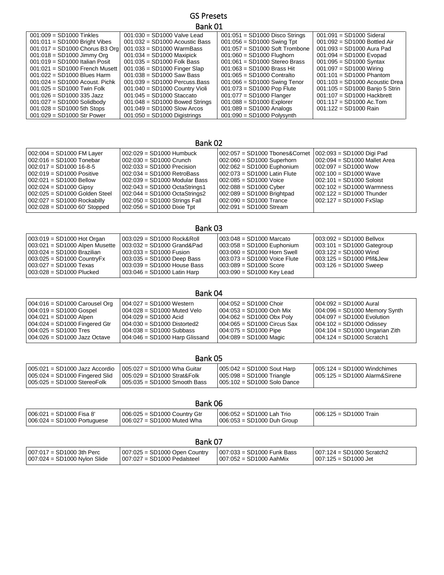## GS Presets Bank 01

| $001:009 = SD1000$ Tinkles       | $001:030 = SD1000$ Valve Lead    | $001:051 = SD1000$ Disco Strings | $001:091 = SD1000$ Sideral       |
|----------------------------------|----------------------------------|----------------------------------|----------------------------------|
| $001:011 =$ SD1000 Bright Vibes  | $001:032 = SD1000$ Acoustic Bass | $001:056 = SD1000$ Swing Tpt     | $001:092 = SD1000$ Bottled Air   |
| 001:017 = SD1000 Chorus B3 Org   | $001:033 = SD1000$ WarmBass      | $001:057 = SD1000$ Soft Trombone | $001:093 = SD1000$ Aura Pad      |
| $001:018 = SD1000$ Jimmy Org     | $001:034 = SD1000$ Maxipick      | $001:060 = SD1000$ Flughorn      | $001:094 = SD1000$ Evopad        |
| $001:019 = SD1000$ Italian Posit | $001:035 = SD1000$ Folk Bass     | $001:061 = SD1000$ Stereo Brass  | $001:095 = SD1000$ Syntax        |
| $001:021 = SD1000$ French Musett | $001:036 = SD1000$ Finger Slap   | $001:063 = SD1000$ Brass Hit     | $001:097 = SD1000$ Wiring        |
| $001:022 = SD1000$ Blues Harm    | $001:038 = SD1000$ Saw Bass      | $001:065 = SD1000$ Contralto     | $001:101 = SD1000$ Phantom       |
| $001:024 = SD1000$ Acoust. Pichk | $001:039 = SD1000$ Percuss Bass  | $001:066 = SD1000$ Swing Tenor   | $001:103 = SD1000$ Acoustic Drea |
| $001:025 = SD1000$ Twin Folk     | $001:040 = SD1000$ Country Violi | $001:073 = SD1000$ Pop Flute     | 001:105 = SD1000 Banjo 5 Strin   |
| $001:026 = SD1000$ 335 Jazz      | $001:045 = SD1000$ Staccato      | $001:077 = SD1000$ Flanger       | $001:107 = SD1000$ Hackbrett     |
| $001:027 = SD1000$ Solidbody     | $001:048 = SD1000$ Bowed Strings | $001:088 = SD1000$ Explorer      | $001:117 =$ SD1000 Ac.Tom        |
| $001:028 = SD1000$ 5th Stops     | $001:049 = SD1000$ Slow Arcos    | $001:089 = SD1000$ Analogs       | $001:122 = SD1000$ Rain          |
| $001:029 = SD1000$ Str Power     | $001:050 = SD1000$ Digistrings   | $001:090 = SD1000$ Polysynth     |                                  |

Bank 02

| $002:004 = SD1000$ FM Layer   | $002:029 = SD1000$ Humbuck      | 002:057 = SD1000 Tbones&Cornet   002:093 = SD1000 Digi Pad |                              |
|-------------------------------|---------------------------------|------------------------------------------------------------|------------------------------|
| 002:016 = SD1000 Tonebar      | $002:030 = SD1000$ Crunch       | $002:060 = SD1000$ Superhorn                               | 002:094 = SD1000 Mallet Area |
| $002:017 = SD100016-8-5$      | $002:033 = SD1000$ Precision    | 002:062 = SD1000 Euphonium                                 | $002:097 = SD1000$ Wow       |
| 002:019 = SD1000 Positive     | $002:034 = SD1000$ RetroBass    | 002:073 = SD1000 Latin Flute                               | $002:100 = SD1000$ Wave      |
| $002:021 = SD1000$ Bellow     | $002:039 = SD1000$ Modular Bass | 002:085 = SD1000 Voice                                     | $002:101 = SD1000$ Soloist   |
| $002:024 = SD1000$ Gipsy      | 002:043 = SD1000 OctaStrings1   | $002:088 = SD1000$ Cyber                                   | $002:102 = SD1000$ Warmness  |
| 002:025 = SD1000 Golden Steel | $002:044 = SD1000$ OctaStrings2 | 002:089 = SD1000 Brightpad                                 | 002:122 = SD1000 Thunder     |
| $002:027 = SD1000$ Rockabilly | $002:050 = SD1000$ Strings Fall | 002:090 = SD1000 Trance                                    | $002:127 = SD1000$ FxSlap    |
| $002:028 = SD100060$ Stopped  | $002:056 = SD1000$ Dixie Tpt    | 002:091 = SD1000 Stream                                    |                              |
|                               |                                 |                                                            |                              |

## Bank 03

| $003:101 = SD1000$ Gategroup |
|------------------------------|
|                              |
|                              |
|                              |
|                              |
|                              |

## Bank 04

| $ 004.016 = SD1000$ Carousel Org  | $004.027 = SD1000$ Western        | l 004:052 = SD1000 Choir      | 004:092 = SD1000 Aural           |
|-----------------------------------|-----------------------------------|-------------------------------|----------------------------------|
| 004:019 = SD1000 Gospel           | $004:028 = SD1000$ Muted Velo     | l 004:053 = SD1000 Ooh Mix.   | $004:096 = SD1000$ Memory Synth  |
| 004:021 = SD1000 Alpen            | $004:029 = SD1000$ Acid           | 004:062 = SD1000 Obx Polv     | 004:097 = SD1000 Evolution       |
| $ 004:024 $ = SD1000 Fingered Gtr | $004:030 = SD1000$ Distorted2     | l 004:065 = SD1000 Circus Sax | $ 004:102 = SD1000$ Odissey      |
| l 004:025 = SD1000 Tres           | $004:038 = SD1000$ Subbass        | 004:075 = SD1000 Pipe         | $004:104 = SD1000$ Ungarian Zith |
| 1004:026 = SD1000 Jazz Octave     | $1004:046 = SD1000$ Harp Glissand | 004:089 = SD1000 Magic        | l 004:124 = SD1000 Scratch1      |

| Bank 05                                                                                           |                                                                                                  |                                                                                               |                                                                   |
|---------------------------------------------------------------------------------------------------|--------------------------------------------------------------------------------------------------|-----------------------------------------------------------------------------------------------|-------------------------------------------------------------------|
| 005:021 = SD1000 Jazz Accordio<br>$005:024 = SD1000$ Fingered Slid<br>005:025 = SD1000 StereoFolk | $005:027 = SD1000$ Wha Guitar<br>$005:029 = SD1000$ Strat&Folk<br>$005:035 = SD1000$ Smooth Bass | $005:042 = SD1000$ Sout Harp<br>$ 005:098 = SD1000$ Triangle<br>$005:102 = SD1000$ Solo Dance | $1005:124 = SD1000$ Windchimes<br>  005:125 = SD1000 Alarm&Sirene |

| Bank 06                       |                              |                            |                        |
|-------------------------------|------------------------------|----------------------------|------------------------|
| $1006:021 = SD1000$ Fisa 8'   | 006:025 = SD1000 Country Gtr | 006:052 = SD1000 Lah Trio  | 006:125 = SD1000 Train |
| $006:024 = SD1000$ Portuguese | 006:027 = SD1000 Muted Wha   | 006:053 = SD1000 Duh Group |                        |

| Bank O                         |                                 |                              |                             |
|--------------------------------|---------------------------------|------------------------------|-----------------------------|
| $1007:017 = SD1000$ 3th Perc   | $007:025 = SD1000$ Open Country | $007:033 = SD1000$ Funk Bass | $007:124 = SD1000$ Scratch2 |
| $007:024 = SD1000$ Nylon Slide | $007:027 = SD1000$ Pedalsteel   | $1007:052 = SD1000$ AahMix   | $007:125 = SD1000$ Jet      |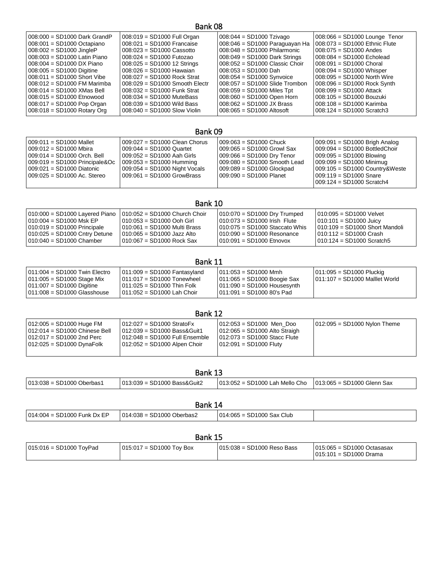### Bank 08

| $008:000 = SD1000$ Dark GrandP | $008:019 = SD1000$ Full Organ    | $008:044 = SD1000$ Tzivago       | $008:066 = SD1000$ Lounge Tenor |
|--------------------------------|----------------------------------|----------------------------------|---------------------------------|
| 008:001 = SD1000 Octapiano     | $008:021 = SD1000$ Francaise     | $008:046 = SD1000$ Paraguayan Ha | 008:073 = SD1000 Ethnic Flute   |
| $008:002 = SD1000$ JingleP     | $008:023 = SD1000$ Cassotto      | $008:048 = SD1000$ Philarmonic   | $008:075 = SD1000$ Andes        |
| 008:003 = SD1000 Latin Piano   | $008:024 = SD1000$ Futozao       | $008.049$ = SD1000 Dark Strings  | $008:084 = SD1000$ Echolead     |
| $008:004 = SD1000$ DX Piano    | $008:025 = SD100012$ Strings     | $008:052 = SD1000$ Classic Choir | $008:091 = SD1000$ Choral       |
| $008:005 = SD1000$ Digitine    | $008:026 = SD1000$ Hawaian       | $008:053 = SD1000$ Dah           | $008:094 = SD1000$ Whisper      |
| $008:011 = SD1000$ Short Vibe  | $008:027 = SD1000$ Rock Strat    | $008:054 = SD1000$ Synvoice      | $008:095 = SD1000$ North Wire   |
| 008:012 = SD1000 FM Marimba    | $008:029 = SD1000$ Smooth Electr | $008:057 = SD1000$ Slide Trombon | $008:096 = SD1000$ Rock Synth   |
| 008:014 = SD1000 XMas Bell     | 008:032 = SD1000 Funk Strat      | $008:059 = SD1000$ Miles Tpt     | $008:099 = SD1000$ Attack       |
| $008:015 = SD1000$ Etnowood    | $008:034 = SD1000$ MuteBass      | $008:060 = SD1000$ Open Horn     | $008:105 = SD1000 Bouzuki$      |
| 008:017 = SD1000 Pop Organ     | $008:039 = SD1000$ Wild Bass     | $008:062 = SD1000$ JX Brass      | $008:108 = SD1000$ Karimba      |
| 008:018 = SD1000 Rotary Org    | $008:040 = SD1000$ Slow Violin   | $008:065 = SD1000$ Altosoft      | $008:124 = SD1000$ Scratch3     |
|                                |                                  |                                  |                                 |

## Bank 09

| 009:011 = SD1000 Mallet           | $009:027 = SD1000$ Clean Chorus | l 009:063 = SD1000 Chuck_    | $009:091 = SD1000$ Brigh Analog  |
|-----------------------------------|---------------------------------|------------------------------|----------------------------------|
| l 009:012 = SD1000 Mbira_         | $009:044 = SD1000$ Quartet      | 009:065 = SD1000 Growl Sax   | 009:094 = SD1000 BottledChoir    |
| $009:014 = SD1000$ Orch, Bell     | $009:052 = SD1000$ Aah Girls    | 009:066 = SD1000 Dry Tenor   | $009:095 = SD1000$ Blowing       |
| $ 009:019 = SD1000$ Principale&Oc | $009:053 = SD1000$ Humming      | 009:080 = SD1000 Smooth Lead | $1009.099 = SD1000$ Minimug      |
| 009:021 = SD1000 Diatonic         | $009:054 = SD1000$ Night Vocals | 009:089 = SD1000 Glockpad    | $009:105 = SD1000$ Country&Weste |
| 009:025 = SD1000 Ac. Stereo       | $009:061 = SD1000$ GrowBrass    | 009:090 = SD1000 Planet      | 009:119 = SD1000 Snare           |
|                                   |                                 |                              | $009:124 = SD1000$ Scratch4      |

### Bank 10 010:000 = SD1000 Layered Piano 010:004 = SD1000 Msk EP 010:019 = SD1000 Principale 010:025 = SD1000 Cntry Detune 010:040 = SD1000 Chamber 010:052 = SD1000 Church Choir 010:053 = SD1000 Ooh Girl 010:061 = SD1000 Multi Brass 010:065 = SD1000 Jazz Alto 010:067 = SD1000 Rock Sax 010:070 = SD1000 Dry Trumped 010:073 = SD1000 Irish Flute 010:075 = SD1000 Staccato Whis 010:090 = SD1000 Resonance 010:091 = SD1000 Etnovox 010:095 = SD1000 Velvet 010:101 = SD1000 Juicy 010:109 = SD1000 Short Mandoli 010:112 = SD1000 Crash 010:124 = SD1000 Scratch5

| DdIIK 11                                                                                                                                                                                                                                                                                                                                                                                         |                                                                 |  |  |  |
|--------------------------------------------------------------------------------------------------------------------------------------------------------------------------------------------------------------------------------------------------------------------------------------------------------------------------------------------------------------------------------------------------|-----------------------------------------------------------------|--|--|--|
| $1011:004 = SD1000$ Twin Electro<br>  011:009 = SD1000 Fantasyland<br>1011:053 = SD1000 Mmh<br>$1011:005 = SD1000$ Stage Mix<br>$011:065 = SD1000$ Boogie Sax<br>$1011:017 = SD1000$ Tonewheel<br>$011:007 = SD1000$ Digitine<br>$1011:090 = SD1000$ Housesvnth<br>  011:025 = SD1000 Thin Folk_<br>1011:091 = SD1000 80's Pad<br>$1011:008 = SD1000$ Glasshouse<br>  011:052 = SD1000 Lah Choir | $011:095 = SD1000$ Pluckig<br>$1011:107 = SD1000$ Malllet World |  |  |  |

|                                  | Bank 12                           |                                 |                                |
|----------------------------------|-----------------------------------|---------------------------------|--------------------------------|
| $012:005 = SD1000$ Huge FM       | $012.027 = SD1000$ StratoFx       | $012:053 = SD1000$ Men Doo      | $012:095 = SD1000$ Nylon Theme |
| $1012:014 = SD1000$ Chinese Bell | $1012:039 = SD1000$ Bass& Guit1   | $012:065 = SD1000$ Alto Straigh |                                |
| $1012:017 = SD1000$ 2nd Perc     | $1012:048 = SD1000$ Full Ensemble | 012:073 = SD1000 Stacc Flute    |                                |
| $012:025 = SD1000$ DynaFolk      | $012:052 = SD1000$ Alpen Choir    | $012:091 = SD1000$ Fluty        |                                |

| Bank 13                     |                                |                                |                               |  |
|-----------------------------|--------------------------------|--------------------------------|-------------------------------|--|
| $013:038 = SD1000$ Oberbas1 | $1013:039 = SD1000$ Bass&Guit2 | 013:052 = SD1000 Lah Mello Cho | $1013.065 = SD1000$ Glenn Sax |  |
| Ronk 11                     |                                |                                |                               |  |

| DAIIN 14                          |                            |                                             |  |
|-----------------------------------|----------------------------|---------------------------------------------|--|
| SD1000 Funk Dx EP<br>014:004<br>- | SD1000 Oberbas2<br>014:038 | Sax Club<br>$\sim$<br>014:065<br>100C<br>שפ |  |

## Bank 15

| $015.016 = SD1000$ ToyPad<br>$015:017 = SD1000$ Toy Box | 015:038 = SD1000 Reso Bass | $015:065 = SD1000$ Octasasax<br>  015:101 = SD1000 Drama |
|---------------------------------------------------------|----------------------------|----------------------------------------------------------|
|---------------------------------------------------------|----------------------------|----------------------------------------------------------|

# Bank 11

## Bank 12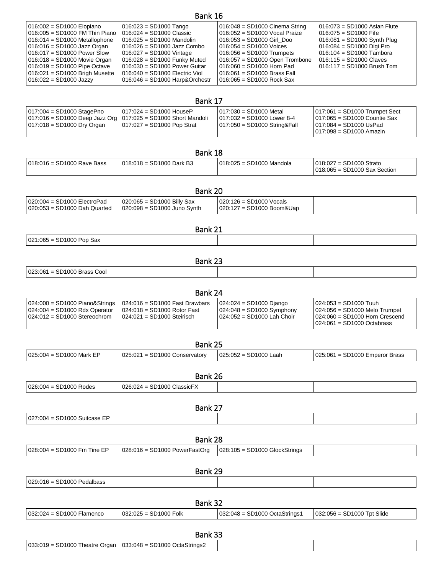| Bank 16                          |                                  |                                  |                               |  |
|----------------------------------|----------------------------------|----------------------------------|-------------------------------|--|
| 016:002 = SD1000 Elopiano        | $016.023 = SD1000$ Tango         | $016:048 = SD1000$ Cinema String | 016:073 = SD1000 Asian Flute  |  |
| 016:005 = SD1000 FM Thin Piano   | $016.024 = SD1000$ Classic       | 016:052 = SD1000 Vocal Praize    | 016:075 = SD1000 Fife         |  |
| $016.014 = SD1000$ Metallophone  | $016:025 = SD1000$ Mandolin      | 016:053 = SD1000 Girl Doo        | $016:081 = SD1000$ Synth Plug |  |
| $016:016 = SD1000$ Jazz Organ    | $016:026 = SD1000$ Jazz Combo    | 016:054 = SD1000 Voices          | 016:084 = SD1000 Digi Pro     |  |
| $016:017 = SD1000$ Power Slow    | $016.027 = SD1000$ Vintage       | $016:056 = SD1000$ Trumpets      | 016:104 = SD1000 Tambora      |  |
| $016:018 = SD1000$ Movie Organ   | $016:028 = SD1000$ Funky Muted   | $016:057 = SD1000$ Open Trombone | 016:115 = SD1000 Claves       |  |
| $016:019 = SD1000$ Pipe Octave   | $016:030 = SD1000$ Power Guitar  | 016:060 = SD1000 Horn Pad        | $1016:117 = SD1000$ Brush Tom |  |
| $016:021 = SD1000$ Brigh Musette | $016:040 = SD1000$ Electric Viol | 1016:061 = SD1000 Brass Fall     |                               |  |
| $016.022 = SD1000$ Jazzy         | $016.046 = SD1000$ Harp&Orchestr | $1016:065 = SD1000$ Rock Sax     |                               |  |

### Bank 17 017:004 = SD1000 StagePno 017:016 = SD1000 Deep Jazz Org 017:018 = SD1000 Dry Organ 017:024 = SD1000 HouseP 017:025 = SD1000 Short Mandoli 017:027 = SD1000 Pop Strat 017:030 = SD1000 Metal 017:032 = SD1000 Lower 8-4 017:050 = SD1000 String&Fall 017:061 = SD1000 Trumpet Sect 017:065 = SD1000 Countie Sax 017:084 = SD1000 UsPad 017:098 = SD1000 Amazin

| Bank 18                    |                            |                          |                                                           |
|----------------------------|----------------------------|--------------------------|-----------------------------------------------------------|
| 018:016 = SD1000 Rave Bass | $018.018 = SD1000$ Dark B3 | 018:025 = SD1000 Mandola | 018:027 = SD1000 Strato<br>$018.065 = SD1000$ Sax Section |

|                                | Bank 20                       |                             |  |
|--------------------------------|-------------------------------|-----------------------------|--|
| $020:004 = SD1000$ ElectroPad  | $020:065 = SD1000$ Billy Sax  | $020:126 = SD1000$ Vocals   |  |
| $020:053 = SD1000$ Dah Quarted | $020:098 = SD1000$ Juno Synth | $020:127 = SD1000 Boom&Uap$ |  |

| Bank 21                    |  |  |  |
|----------------------------|--|--|--|
| $021:065 = SD1000$ Pop Sax |  |  |  |
|                            |  |  |  |

## Bank 23

| $=$ SD1000 Brass Cool<br>023:061 |  |  |
|----------------------------------|--|--|
|                                  |  |  |

| Bank 24                                                                                               |                                                                                                   |                                                                                        |                                                                                                                                |
|-------------------------------------------------------------------------------------------------------|---------------------------------------------------------------------------------------------------|----------------------------------------------------------------------------------------|--------------------------------------------------------------------------------------------------------------------------------|
| $024:000 = SD1000$ Piano&Strings<br>$024:004 = SD1000$ Rdx Operator<br>$024:012 = SD1000$ Stereochrom | $024:016 = SD1000$ Fast Drawbars<br>$024:018 = SD1000$ Rotor Fast<br>$024:021 = SD1000$ Steirisch | $024:024 = SD1000$ Diango<br>$024:048 = SD1000$ Symphony<br>024:052 = SD1000 Lah Choir | $024:053 = SD1000$ Tuuh<br>$024:056 = SD1000$ Melo Trumpet<br>$024:060 = SD1000$ Horn Crescend<br>$024:061 = SD1000 Octabrass$ |

| Bank 25                    |                                 |                         |                                  |
|----------------------------|---------------------------------|-------------------------|----------------------------------|
| $025:004 = SD1000$ Mark EP | $025:021 = SD1000$ Conservatory | $025:052 = SD1000$ Laah | $025:061 = SD1000$ Emperor Brass |

| Bank.                                  |                                 |  |  |
|----------------------------------------|---------------------------------|--|--|
| SD1000 Rodes<br><u> በ26:004</u><br>$=$ | $=$ SD1000 ClassicFX<br>026:024 |  |  |

| Bank 27                      |                                 |                                 |                              |  |  |
|------------------------------|---------------------------------|---------------------------------|------------------------------|--|--|
| 027:004 = SD1000 Suitcase EP |                                 |                                 |                              |  |  |
|                              |                                 |                                 |                              |  |  |
| Bank 28                      |                                 |                                 |                              |  |  |
| 028:004 = SD1000 Fm Tine EP  | $028:016 = SD1000 PowerFastOrg$ | $028:105 = SD1000$ GlockStrings |                              |  |  |
|                              |                                 |                                 |                              |  |  |
| Bank 29                      |                                 |                                 |                              |  |  |
| $029:016 = SD1000$ Pedalbass |                                 |                                 |                              |  |  |
|                              |                                 |                                 |                              |  |  |
| Bank 32                      |                                 |                                 |                              |  |  |
| $032:024 = SD1000$ Flamenco  | $032:025 = SD1000$ Folk         | 032:048 = SD1000 OctaStrings1   | $032:056 = SD1000$ Tpt Slide |  |  |

## Bank 33